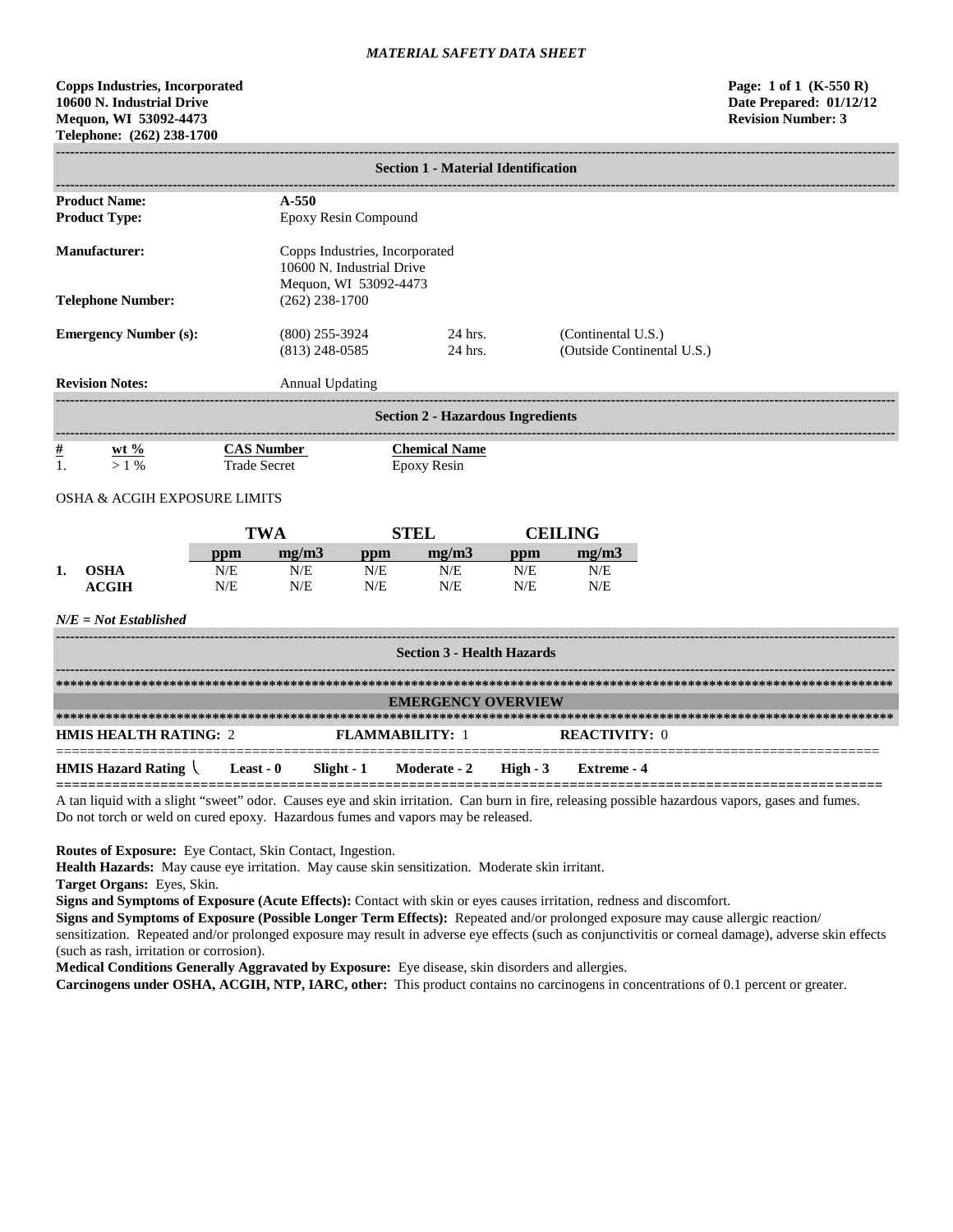# **Copps Industries, Incorporated Page: 1 of 1 (K-550 R) 10600 N. Industrial Drive Date Prepared: 01/12/12 Mequon, WI 53092-4473 Revision Number: 3 Telephone: (262) 238-1700**

| <b>Product Name:</b><br>$A - 550$<br><b>Product Type:</b><br>Epoxy Resin Compound<br><b>Manufacturer:</b><br>Copps Industries, Incorporated<br>10600 N. Industrial Drive<br>Mequon, WI 53092-4473<br><b>Telephone Number:</b><br>$(262)$ 238-1700<br><b>Emergency Number (s):</b><br>24 hrs.<br>$(800)$ 255-3924<br>(Continental U.S.)<br>24 hrs.<br>(Outside Continental U.S.)<br>$(813)$ 248-0585<br><b>Revision Notes:</b><br><b>Annual Updating</b><br><b>Section 2 - Hazardous Ingredients</b><br>$\frac{\mu}{L}$<br><b>Chemical Name</b><br>wt $\frac{6}{2}$<br><b>CAS Number</b><br><b>Trade Secret</b><br>1.<br>$>1\%$<br><b>Epoxy Resin</b><br><b>OSHA &amp; ACGIH EXPOSURE LIMITS</b><br><b>TWA</b><br><b>STEL</b><br><b>CEILING</b><br>mg/m3<br>mg/m3<br>mg/m3<br>ppm<br>ppm<br>ppm<br>N/E<br><b>OSHA</b><br>N/E<br>N/E<br>N/E<br>N/E<br>N/E<br>1.<br><b>ACGIH</b><br>N/E<br>N/E<br>N/E<br>N/E<br>N/E<br>N/E<br>$N/E = Not$ Established<br><b>Section 3 - Health Hazards</b><br><b>EMERGENCY OVERVIEW</b><br><b>HMIS HEALTH RATING: 2</b><br><b>FLAMMABILITY: 1</b><br><b>REACTIVITY: 0</b> | <b>Section 1 - Material Identification</b> |  |  |  |  |              |            |                    |  |
|--------------------------------------------------------------------------------------------------------------------------------------------------------------------------------------------------------------------------------------------------------------------------------------------------------------------------------------------------------------------------------------------------------------------------------------------------------------------------------------------------------------------------------------------------------------------------------------------------------------------------------------------------------------------------------------------------------------------------------------------------------------------------------------------------------------------------------------------------------------------------------------------------------------------------------------------------------------------------------------------------------------------------------------------------------------------------------------------------------|--------------------------------------------|--|--|--|--|--------------|------------|--------------------|--|
|                                                                                                                                                                                                                                                                                                                                                                                                                                                                                                                                                                                                                                                                                                                                                                                                                                                                                                                                                                                                                                                                                                        |                                            |  |  |  |  |              |            |                    |  |
|                                                                                                                                                                                                                                                                                                                                                                                                                                                                                                                                                                                                                                                                                                                                                                                                                                                                                                                                                                                                                                                                                                        |                                            |  |  |  |  |              |            |                    |  |
|                                                                                                                                                                                                                                                                                                                                                                                                                                                                                                                                                                                                                                                                                                                                                                                                                                                                                                                                                                                                                                                                                                        |                                            |  |  |  |  |              |            |                    |  |
|                                                                                                                                                                                                                                                                                                                                                                                                                                                                                                                                                                                                                                                                                                                                                                                                                                                                                                                                                                                                                                                                                                        |                                            |  |  |  |  |              |            |                    |  |
|                                                                                                                                                                                                                                                                                                                                                                                                                                                                                                                                                                                                                                                                                                                                                                                                                                                                                                                                                                                                                                                                                                        |                                            |  |  |  |  |              |            |                    |  |
|                                                                                                                                                                                                                                                                                                                                                                                                                                                                                                                                                                                                                                                                                                                                                                                                                                                                                                                                                                                                                                                                                                        |                                            |  |  |  |  |              |            |                    |  |
|                                                                                                                                                                                                                                                                                                                                                                                                                                                                                                                                                                                                                                                                                                                                                                                                                                                                                                                                                                                                                                                                                                        |                                            |  |  |  |  |              |            |                    |  |
|                                                                                                                                                                                                                                                                                                                                                                                                                                                                                                                                                                                                                                                                                                                                                                                                                                                                                                                                                                                                                                                                                                        |                                            |  |  |  |  |              |            |                    |  |
|                                                                                                                                                                                                                                                                                                                                                                                                                                                                                                                                                                                                                                                                                                                                                                                                                                                                                                                                                                                                                                                                                                        |                                            |  |  |  |  |              |            |                    |  |
|                                                                                                                                                                                                                                                                                                                                                                                                                                                                                                                                                                                                                                                                                                                                                                                                                                                                                                                                                                                                                                                                                                        |                                            |  |  |  |  |              |            |                    |  |
|                                                                                                                                                                                                                                                                                                                                                                                                                                                                                                                                                                                                                                                                                                                                                                                                                                                                                                                                                                                                                                                                                                        |                                            |  |  |  |  |              |            |                    |  |
|                                                                                                                                                                                                                                                                                                                                                                                                                                                                                                                                                                                                                                                                                                                                                                                                                                                                                                                                                                                                                                                                                                        |                                            |  |  |  |  |              |            |                    |  |
|                                                                                                                                                                                                                                                                                                                                                                                                                                                                                                                                                                                                                                                                                                                                                                                                                                                                                                                                                                                                                                                                                                        |                                            |  |  |  |  |              |            |                    |  |
|                                                                                                                                                                                                                                                                                                                                                                                                                                                                                                                                                                                                                                                                                                                                                                                                                                                                                                                                                                                                                                                                                                        |                                            |  |  |  |  |              |            |                    |  |
|                                                                                                                                                                                                                                                                                                                                                                                                                                                                                                                                                                                                                                                                                                                                                                                                                                                                                                                                                                                                                                                                                                        |                                            |  |  |  |  |              |            |                    |  |
|                                                                                                                                                                                                                                                                                                                                                                                                                                                                                                                                                                                                                                                                                                                                                                                                                                                                                                                                                                                                                                                                                                        |                                            |  |  |  |  |              |            |                    |  |
|                                                                                                                                                                                                                                                                                                                                                                                                                                                                                                                                                                                                                                                                                                                                                                                                                                                                                                                                                                                                                                                                                                        |                                            |  |  |  |  |              |            |                    |  |
| <b>HMIS Hazard Rating</b><br><b>Least - <math>0</math></b><br>Slight - 1                                                                                                                                                                                                                                                                                                                                                                                                                                                                                                                                                                                                                                                                                                                                                                                                                                                                                                                                                                                                                               |                                            |  |  |  |  | Moderate - 2 | $High - 3$ | <b>Extreme</b> - 4 |  |

A tan liquid with a slight "sweet" odor. Causes eye and skin irritation. Can burn in fire, releasing possible hazardous vapors, gases and fumes. Do not torch or weld on cured epoxy. Hazardous fumes and vapors may be released.

**Routes of Exposure:** Eye Contact, Skin Contact, Ingestion.

**Health Hazards:** May cause eye irritation. May cause skin sensitization. Moderate skin irritant.

**Target Organs:** Eyes, Skin.

**Signs and Symptoms of Exposure (Acute Effects):** Contact with skin or eyes causes irritation, redness and discomfort.

**Signs and Symptoms of Exposure (Possible Longer Term Effects):** Repeated and/or prolonged exposure may cause allergic reaction/ sensitization. Repeated and/or prolonged exposure may result in adverse eye effects (such as conjunctivitis or corneal damage), adverse skin effects (such as rash, irritation or corrosion).

**Medical Conditions Generally Aggravated by Exposure:** Eye disease, skin disorders and allergies.

**Carcinogens under OSHA, ACGIH, NTP, IARC, other:** This product contains no carcinogens in concentrations of 0.1 percent or greater.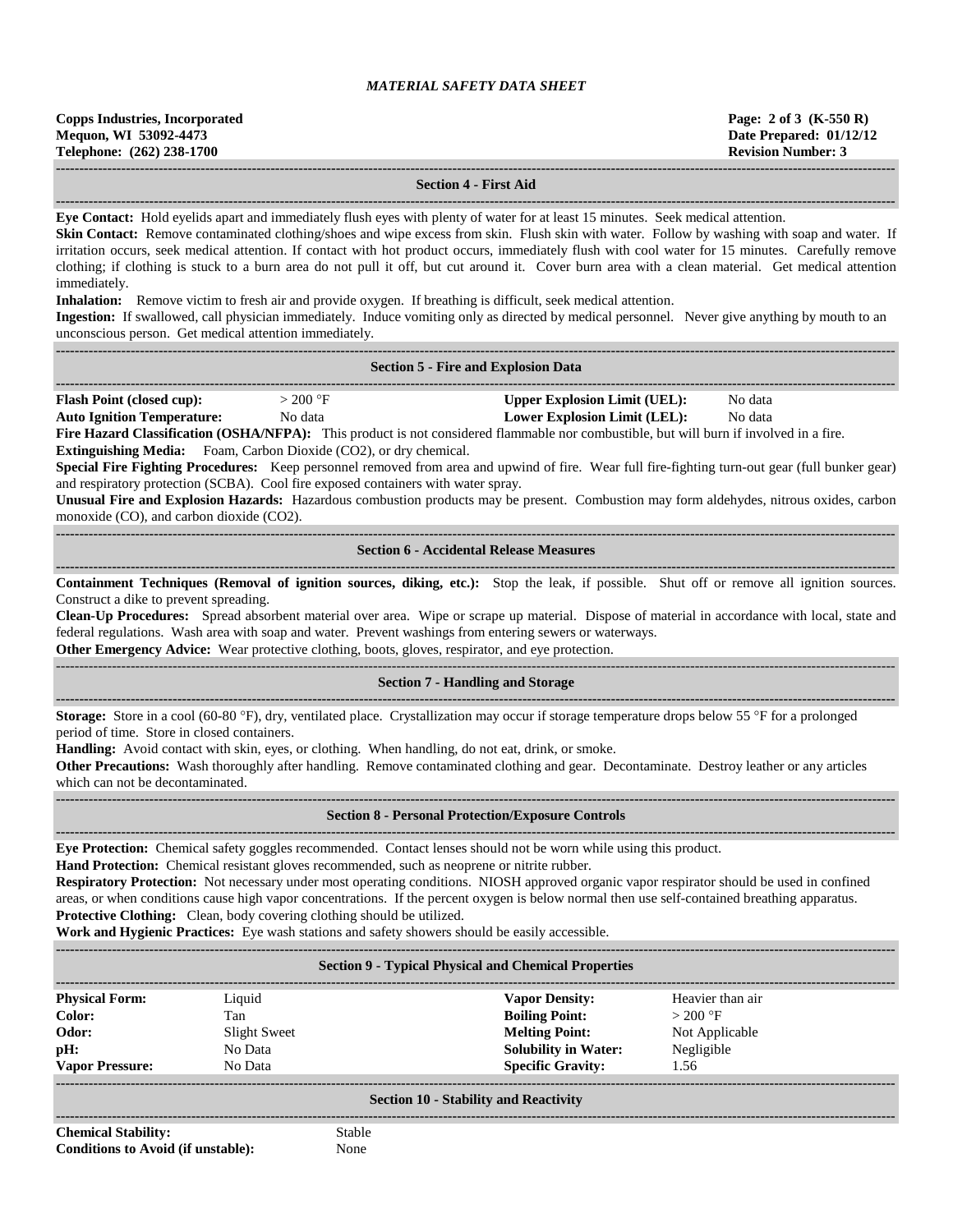#### **------------------------------------------------------------------------------------------------------------------------------------------------------------------------------------ Section 4 - First Aid**

**------------------------------------------------------------------------------------------------------------------------------------------------------------------------------------**

**Eye Contact:** Hold eyelids apart and immediately flush eyes with plenty of water for at least 15 minutes. Seek medical attention.

Skin Contact: Remove contaminated clothing/shoes and wipe excess from skin. Flush skin with water. Follow by washing with soap and water. If irritation occurs, seek medical attention. If contact with hot product occurs, immediately flush with cool water for 15 minutes. Carefully remove clothing; if clothing is stuck to a burn area do not pull it off, but cut around it. Cover burn area with a clean material. Get medical attention immediately.

**Inhalation:** Remove victim to fresh air and provide oxygen. If breathing is difficult, seek medical attention.

**Ingestion:** If swallowed, call physician immediately. Induce vomiting only as directed by medical personnel. Never give anything by mouth to an unconscious person. Get medical attention immediately.

|                                                                                                                                                                                                                                                                                                                                                                                                                                                                                                                                                                                                                                                                                                                                                                                                                                                 |                                                                                                                                                                                                                                                                                                                                                                                                                                                                                           | <b>Section 5 - Fire and Explosion Data</b>                                                                                                                                                                                                                                                                                                                                                                                                                                                               |                                                  |  |  |  |
|-------------------------------------------------------------------------------------------------------------------------------------------------------------------------------------------------------------------------------------------------------------------------------------------------------------------------------------------------------------------------------------------------------------------------------------------------------------------------------------------------------------------------------------------------------------------------------------------------------------------------------------------------------------------------------------------------------------------------------------------------------------------------------------------------------------------------------------------------|-------------------------------------------------------------------------------------------------------------------------------------------------------------------------------------------------------------------------------------------------------------------------------------------------------------------------------------------------------------------------------------------------------------------------------------------------------------------------------------------|----------------------------------------------------------------------------------------------------------------------------------------------------------------------------------------------------------------------------------------------------------------------------------------------------------------------------------------------------------------------------------------------------------------------------------------------------------------------------------------------------------|--------------------------------------------------|--|--|--|
| <b>Flash Point (closed cup):</b><br>$>200$ °F<br><b>Upper Explosion Limit (UEL):</b><br>No data<br><b>Auto Ignition Temperature:</b><br>No data<br><b>Lower Explosion Limit (LEL):</b><br>No data<br>Fire Hazard Classification (OSHA/NFPA): This product is not considered flammable nor combustible, but will burn if involved in a fire.<br>Extinguishing Media: Foam, Carbon Dioxide (CO2), or dry chemical.<br>Special Fire Fighting Procedures: Keep personnel removed from area and upwind of fire. Wear full fire-fighting turn-out gear (full bunker gear)<br>and respiratory protection (SCBA). Cool fire exposed containers with water spray.<br>Unusual Fire and Explosion Hazards: Hazardous combustion products may be present. Combustion may form aldehydes, nitrous oxides, carbon<br>monoxide (CO), and carbon dioxide (CO2). |                                                                                                                                                                                                                                                                                                                                                                                                                                                                                           |                                                                                                                                                                                                                                                                                                                                                                                                                                                                                                          |                                                  |  |  |  |
|                                                                                                                                                                                                                                                                                                                                                                                                                                                                                                                                                                                                                                                                                                                                                                                                                                                 |                                                                                                                                                                                                                                                                                                                                                                                                                                                                                           | <b>Section 6 - Accidental Release Measures</b>                                                                                                                                                                                                                                                                                                                                                                                                                                                           |                                                  |  |  |  |
| Construct a dike to prevent spreading.                                                                                                                                                                                                                                                                                                                                                                                                                                                                                                                                                                                                                                                                                                                                                                                                          |                                                                                                                                                                                                                                                                                                                                                                                                                                                                                           | Containment Techniques (Removal of ignition sources, diking, etc.): Stop the leak, if possible. Shut off or remove all ignition sources.<br>Clean-Up Procedures: Spread absorbent material over area. Wipe or scrape up material. Dispose of material in accordance with local, state and<br>federal regulations. Wash area with soap and water. Prevent washings from entering sewers or waterways.<br>Other Emergency Advice: Wear protective clothing, boots, gloves, respirator, and eye protection. |                                                  |  |  |  |
|                                                                                                                                                                                                                                                                                                                                                                                                                                                                                                                                                                                                                                                                                                                                                                                                                                                 |                                                                                                                                                                                                                                                                                                                                                                                                                                                                                           | <b>Section 7 - Handling and Storage</b>                                                                                                                                                                                                                                                                                                                                                                                                                                                                  |                                                  |  |  |  |
|                                                                                                                                                                                                                                                                                                                                                                                                                                                                                                                                                                                                                                                                                                                                                                                                                                                 | <b>Storage:</b> Store in a cool (60-80 °F), dry, ventilated place. Crystallization may occur if storage temperature drops below 55 °F for a prolonged<br>period of time. Store in closed containers.<br>Handling: Avoid contact with skin, eyes, or clothing. When handling, do not eat, drink, or smoke.<br>Other Precautions: Wash thoroughly after handling. Remove contaminated clothing and gear. Decontaminate. Destroy leather or any articles<br>which can not be decontaminated. |                                                                                                                                                                                                                                                                                                                                                                                                                                                                                                          |                                                  |  |  |  |
|                                                                                                                                                                                                                                                                                                                                                                                                                                                                                                                                                                                                                                                                                                                                                                                                                                                 |                                                                                                                                                                                                                                                                                                                                                                                                                                                                                           | <b>Section 8 - Personal Protection/Exposure Controls</b>                                                                                                                                                                                                                                                                                                                                                                                                                                                 |                                                  |  |  |  |
| Eye Protection: Chemical safety goggles recommended. Contact lenses should not be worn while using this product.<br>Hand Protection: Chemical resistant gloves recommended, such as neoprene or nitrite rubber.<br>Respiratory Protection: Not necessary under most operating conditions. NIOSH approved organic vapor respirator should be used in confined<br>areas, or when conditions cause high vapor concentrations. If the percent oxygen is below normal then use self-contained breathing apparatus.<br>Protective Clothing: Clean, body covering clothing should be utilized.<br>Work and Hygienic Practices: Eye wash stations and safety showers should be easily accessible.                                                                                                                                                       |                                                                                                                                                                                                                                                                                                                                                                                                                                                                                           |                                                                                                                                                                                                                                                                                                                                                                                                                                                                                                          |                                                  |  |  |  |
|                                                                                                                                                                                                                                                                                                                                                                                                                                                                                                                                                                                                                                                                                                                                                                                                                                                 |                                                                                                                                                                                                                                                                                                                                                                                                                                                                                           | <b>Section 9 - Typical Physical and Chemical Properties</b>                                                                                                                                                                                                                                                                                                                                                                                                                                              |                                                  |  |  |  |
| <b>Physical Form:</b><br>Color:<br>Odor:                                                                                                                                                                                                                                                                                                                                                                                                                                                                                                                                                                                                                                                                                                                                                                                                        | Liquid<br>Tan<br><b>Slight Sweet</b>                                                                                                                                                                                                                                                                                                                                                                                                                                                      | <b>Vapor Density:</b><br><b>Boiling Point:</b><br><b>Melting Point:</b>                                                                                                                                                                                                                                                                                                                                                                                                                                  | Heavier than air<br>$>$ 200 °F<br>Not Applicable |  |  |  |

**------------------------------------------------------------------------------------------------------------------------------------------------------------------------------------**

#### **Section 10 - Stability and Reactivity**

**Chemical Stability:** Stable **Conditions to Avoid (if unstable):** None

**------------------------------------------------------------------------------------------------------------------------------------------------------------------------------------**

**pH:** No Data **Solubility in Water:** Negligible **Vapor Pressure:** No Data **Specific Gravity:** 1.56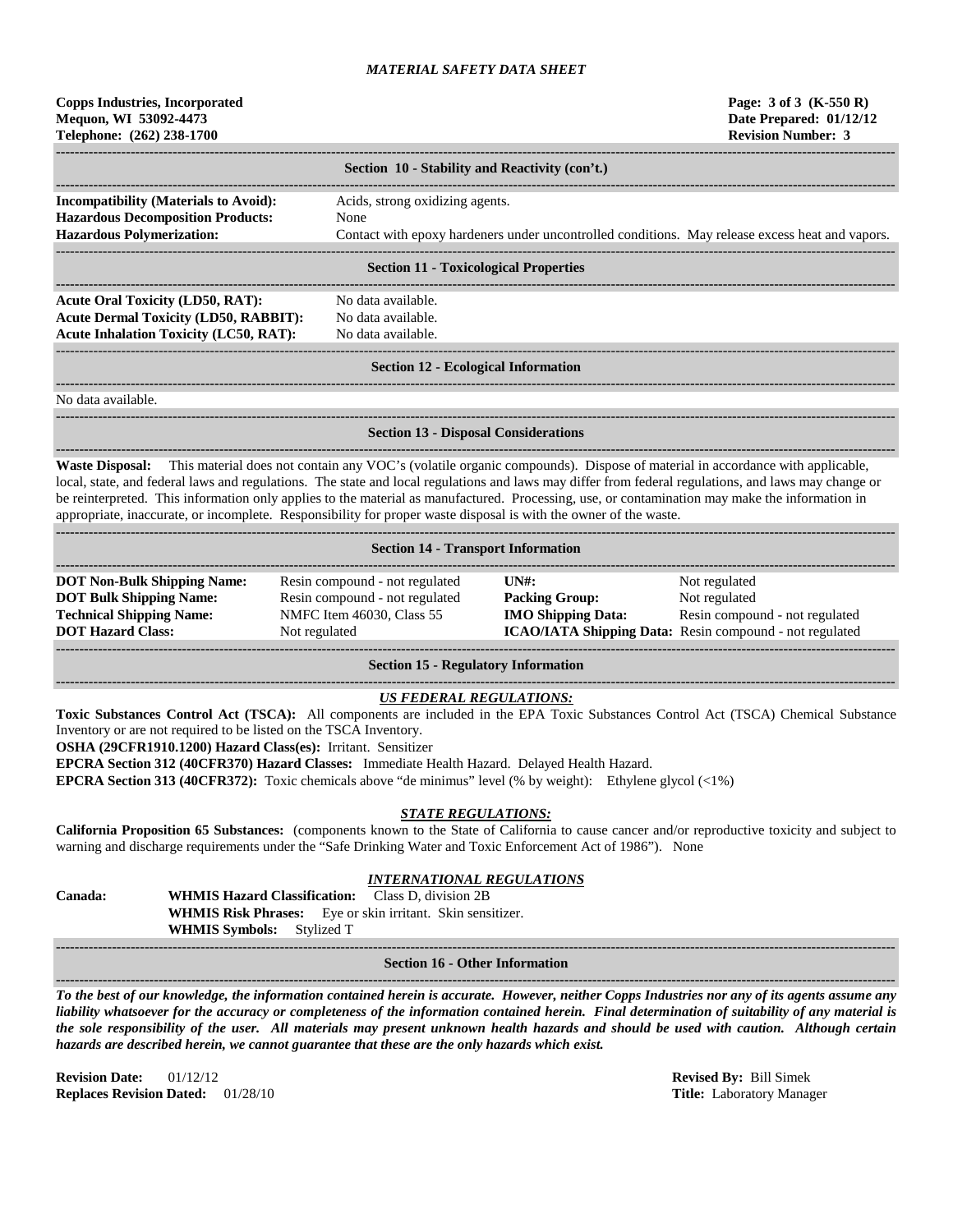| <b>Copps Industries, Incorporated</b><br>Mequon, WI 53092-4473<br>Telephone: (262) 238-1700 |                                                                                                 | Page: 3 of 3 (K-550 R)<br>Date Prepared: 01/12/12<br><b>Revision Number: 3</b> |
|---------------------------------------------------------------------------------------------|-------------------------------------------------------------------------------------------------|--------------------------------------------------------------------------------|
|                                                                                             | Section 10 - Stability and Reactivity (con't.)                                                  |                                                                                |
| <b>Incompatibility (Materials to Avoid):</b>                                                | Acids, strong oxidizing agents.                                                                 |                                                                                |
| <b>Hazardous Decomposition Products:</b>                                                    | <b>None</b>                                                                                     |                                                                                |
| <b>Hazardous Polymerization:</b>                                                            |                                                                                                 |                                                                                |
|                                                                                             | Contact with epoxy hardeners under uncontrolled conditions. May release excess heat and vapors. |                                                                                |
|                                                                                             | <b>Section 11 - Toxicological Properties</b>                                                    |                                                                                |
| Acute Oral Toxicity (LD50, RAT):                                                            | No data available.                                                                              |                                                                                |
| <b>Acute Dermal Toxicity (LD50, RABBIT):</b>                                                | No data available.                                                                              |                                                                                |
| <b>Acute Inhalation Toxicity (LC50, RAT):</b>                                               | No data available.                                                                              |                                                                                |
|                                                                                             | <b>Section 12 - Ecological Information</b>                                                      |                                                                                |

No data available.

**Section 13 - Disposal Considerations**

**------------------------------------------------------------------------------------------------------------------------------------------------------------------------------------**

**------------------------------------------------------------------------------------------------------------------------------------------------------------------------------------ Waste Disposal:** This material does not contain any VOC's (volatile organic compounds). Dispose of material in accordance with applicable, local, state, and federal laws and regulations. The state and local regulations and laws may differ from federal regulations, and laws may change or be reinterpreted. This information only applies to the material as manufactured. Processing, use, or contamination may make the information in appropriate, inaccurate, or incomplete. Responsibility for proper waste disposal is with the owner of the waste.

| <b>Section 14 - Transport Information</b>                                                                                           |                                                                                                                |                                                                                     |                                                                                                                                    |  |  |
|-------------------------------------------------------------------------------------------------------------------------------------|----------------------------------------------------------------------------------------------------------------|-------------------------------------------------------------------------------------|------------------------------------------------------------------------------------------------------------------------------------|--|--|
| <b>DOT Non-Bulk Shipping Name:</b><br><b>DOT Bulk Shipping Name:</b><br><b>Technical Shipping Name:</b><br><b>DOT Hazard Class:</b> | Resin compound - not regulated<br>Resin compound - not regulated<br>NMFC Item 46030, Class 55<br>Not regulated | $\overline{I} \overline{N}$ :<br><b>Packing Group:</b><br><b>IMO Shipping Data:</b> | Not regulated<br>Not regulated<br>Resin compound - not regulated<br><b>ICAO/IATA Shipping Data:</b> Resin compound - not regulated |  |  |

**Section 15 - Regulatory Information**

## *US FEDERAL REGULATIONS:*

**------------------------------------------------------------------------------------------------------------------------------------------------------------------------------------**

**Toxic Substances Control Act (TSCA):** All components are included in the EPA Toxic Substances Control Act (TSCA) Chemical Substance Inventory or are not required to be listed on the TSCA Inventory.

**OSHA (29CFR1910.1200) Hazard Class(es):** Irritant. Sensitizer

**EPCRA Section 312 (40CFR370) Hazard Classes:** Immediate Health Hazard. Delayed Health Hazard.

**EPCRA Section 313 (40CFR372):** Toxic chemicals above "de minimus" level (% by weight): Ethylene glycol (<1%)

#### *STATE REGULATIONS:*

**California Proposition 65 Substances:** (components known to the State of California to cause cancer and/or reproductive toxicity and subject to warning and discharge requirements under the "Safe Drinking Water and Toxic Enforcement Act of 1986"). None

# *INTERNATIONAL REGULATIONS*

**Canada: WHMIS Hazard Classification:** Class D, division 2B **WHMIS Risk Phrases:** Eye or skin irritant. Skin sensitizer. **WHMIS Symbols:** Stylized T

#### **------------------------------------------------------------------------------------------------------------------------------------------------------------------------------------ Section 16 - Other Information**

**------------------------------------------------------------------------------------------------------------------------------------------------------------------------------------** *To the best of our knowledge, the information contained herein is accurate. However, neither Copps Industries nor any of its agents assume any liability whatsoever for the accuracy or completeness of the information contained herein. Final determination of suitability of any material is the sole responsibility of the user. All materials may present unknown health hazards and should be used with caution. Although certain hazards are described herein, we cannot guarantee that these are the only hazards which exist.*

**Revision Date:** 01/12/12 **Revised By:** Bill Simek **Replaces Revision Dated:** 01/28/10 **Title:** Laboratory Manager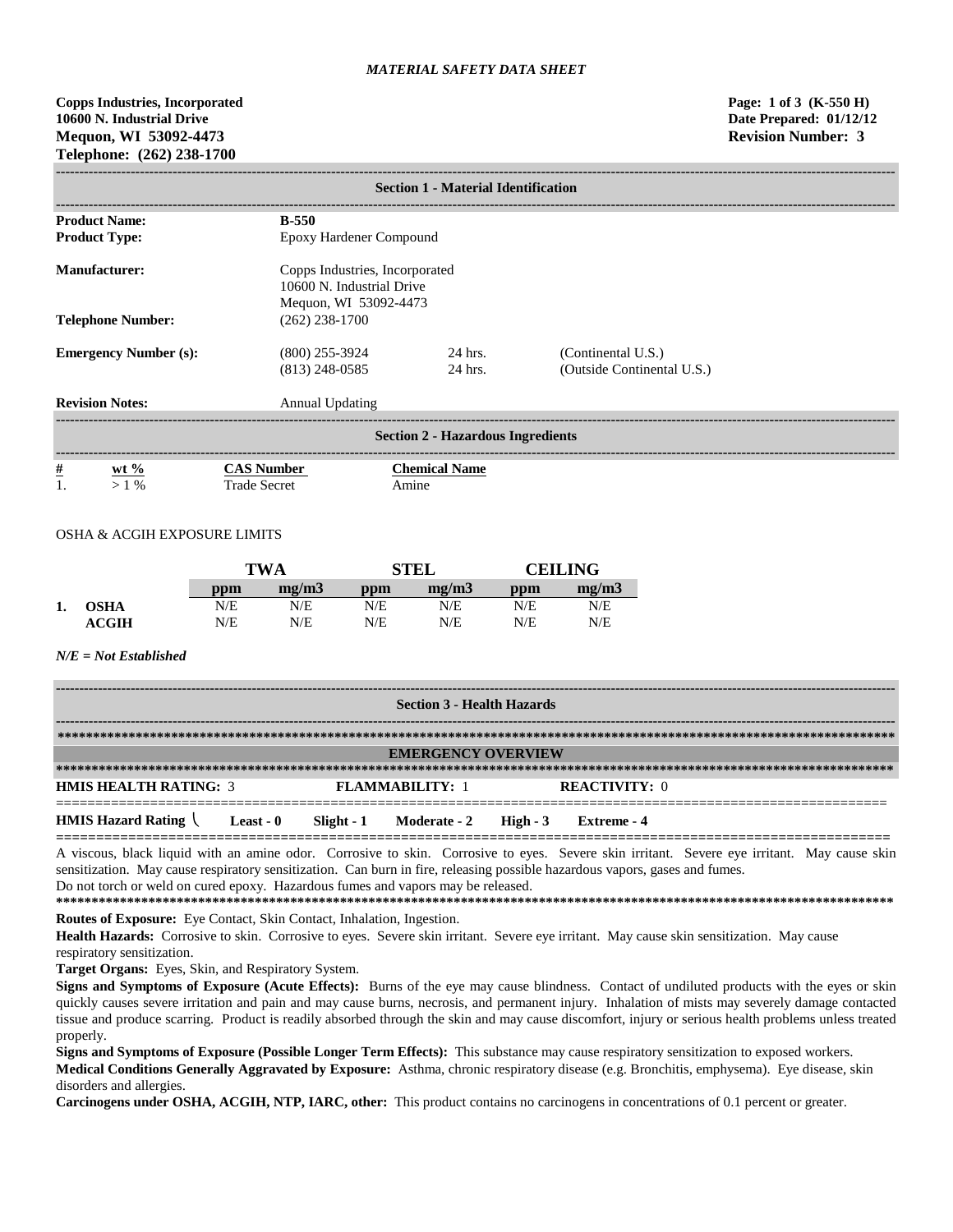# **Copps Industries, Incorporated Page: 1 of 3 (K-550 H) 10600 N. Industrial Drive Date Prepared: 01/12/12 Mequon, WI 53092-4473 Revision Number: 3 Telephone: (262) 238-1700**

| <b>Section 1 - Material Identification</b> |                                                                                      |                               |                                                  |  |  |
|--------------------------------------------|--------------------------------------------------------------------------------------|-------------------------------|--------------------------------------------------|--|--|
| <b>Product Name:</b>                       | <b>B-550</b>                                                                         |                               |                                                  |  |  |
| <b>Product Type:</b>                       | Epoxy Hardener Compound                                                              |                               |                                                  |  |  |
| Manufacturer:                              | Copps Industries, Incorporated<br>10600 N. Industrial Drive<br>Mequon, WI 53092-4473 |                               |                                                  |  |  |
| <b>Telephone Number:</b>                   | $(262)$ 238-1700                                                                     |                               |                                                  |  |  |
| <b>Emergency Number (s):</b>               | $(800)$ 255-3924<br>$(813)$ 248-0585                                                 | 24 hrs.<br>24 hrs.            | (Continental U.S.)<br>(Outside Continental U.S.) |  |  |
| <b>Revision Notes:</b>                     | <b>Annual Updating</b>                                                               |                               |                                                  |  |  |
| <b>Section 2 - Hazardous Ingredients</b>   |                                                                                      |                               |                                                  |  |  |
| $\frac{\#}{1}$<br>wt $\%$<br>>1%           | <b>CAS Number</b><br><b>Trade Secret</b>                                             | <b>Chemical Name</b><br>Amine |                                                  |  |  |

### OSHA & ACGIH EXPOSURE LIMITS

|    |                  |     | TWA   |     | STEL  | CEILING |       |
|----|------------------|-----|-------|-----|-------|---------|-------|
|    |                  | ppm | mg/m3 | ppm | me/m3 | ppm     | me/m3 |
| 1. | <b>OSHA</b>      | N/E | N/E   | N/E | N/E   | N/E     | N/E   |
|    | $\mathbf{ACGIH}$ | N/E | N/E   | N/E | N/E   | N/E     | N/E   |

### *N/E = Not Established*

| <b>Section 3 - Health Hazards</b> |                  |  |                                    |  |                      |  |
|-----------------------------------|------------------|--|------------------------------------|--|----------------------|--|
|                                   |                  |  |                                    |  |                      |  |
|                                   |                  |  | <b>EMERGENCY OVERVIEW</b>          |  |                      |  |
|                                   |                  |  |                                    |  |                      |  |
| <b>HMIS HEALTH RATING: 3</b>      |                  |  | <b>FLAMMARILITY: 1</b>             |  | <b>REACTIVITY:</b> 0 |  |
| <b>HMIS Hazard Rating</b>         | <b>Least - 0</b> |  | $Slight - 1$ Moderate - 2 High - 3 |  | Extreme - 4          |  |

A viscous, black liquid with an amine odor. Corrosive to skin. Corrosive to eyes. Severe skin irritant. Severe eye irritant. May cause skin sensitization. May cause respiratory sensitization. Can burn in fire, releasing possible hazardous vapors, gases and fumes. Do not torch or weld on cured epoxy. Hazardous fumes and vapors may be released.

**\*\*\*\*\*\*\*\*\*\*\*\*\*\*\*\*\*\*\*\*\*\*\*\*\*\*\*\*\*\*\*\*\*\*\*\*\*\*\*\*\*\*\*\*\*\*\*\*\*\*\*\*\*\*\*\*\*\*\*\*\*\*\*\*\*\*\*\*\*\*\*\*\*\*\*\*\*\*\*\*\*\*\*\*\*\*\*\*\*\*\*\*\*\*\*\*\*\*\*\*\*\*\*\*\*\*\*\*\*\*\*\*\*\*\*\*\*\* Routes of Exposure:** Eye Contact, Skin Contact, Inhalation, Ingestion.

**Health Hazards:** Corrosive to skin. Corrosive to eyes. Severe skin irritant. Severe eye irritant. May cause skin sensitization. May cause respiratory sensitization.

**Target Organs:** Eyes, Skin, and Respiratory System.

**Signs and Symptoms of Exposure (Acute Effects):** Burns of the eye may cause blindness. Contact of undiluted products with the eyes or skin quickly causes severe irritation and pain and may cause burns, necrosis, and permanent injury. Inhalation of mists may severely damage contacted tissue and produce scarring. Product is readily absorbed through the skin and may cause discomfort, injury or serious health problems unless treated properly.

**Signs and Symptoms of Exposure (Possible Longer Term Effects):** This substance may cause respiratory sensitization to exposed workers. **Medical Conditions Generally Aggravated by Exposure:** Asthma, chronic respiratory disease (e.g. Bronchitis, emphysema). Eye disease, skin disorders and allergies.

**Carcinogens under OSHA, ACGIH, NTP, IARC, other:** This product contains no carcinogens in concentrations of 0.1 percent or greater.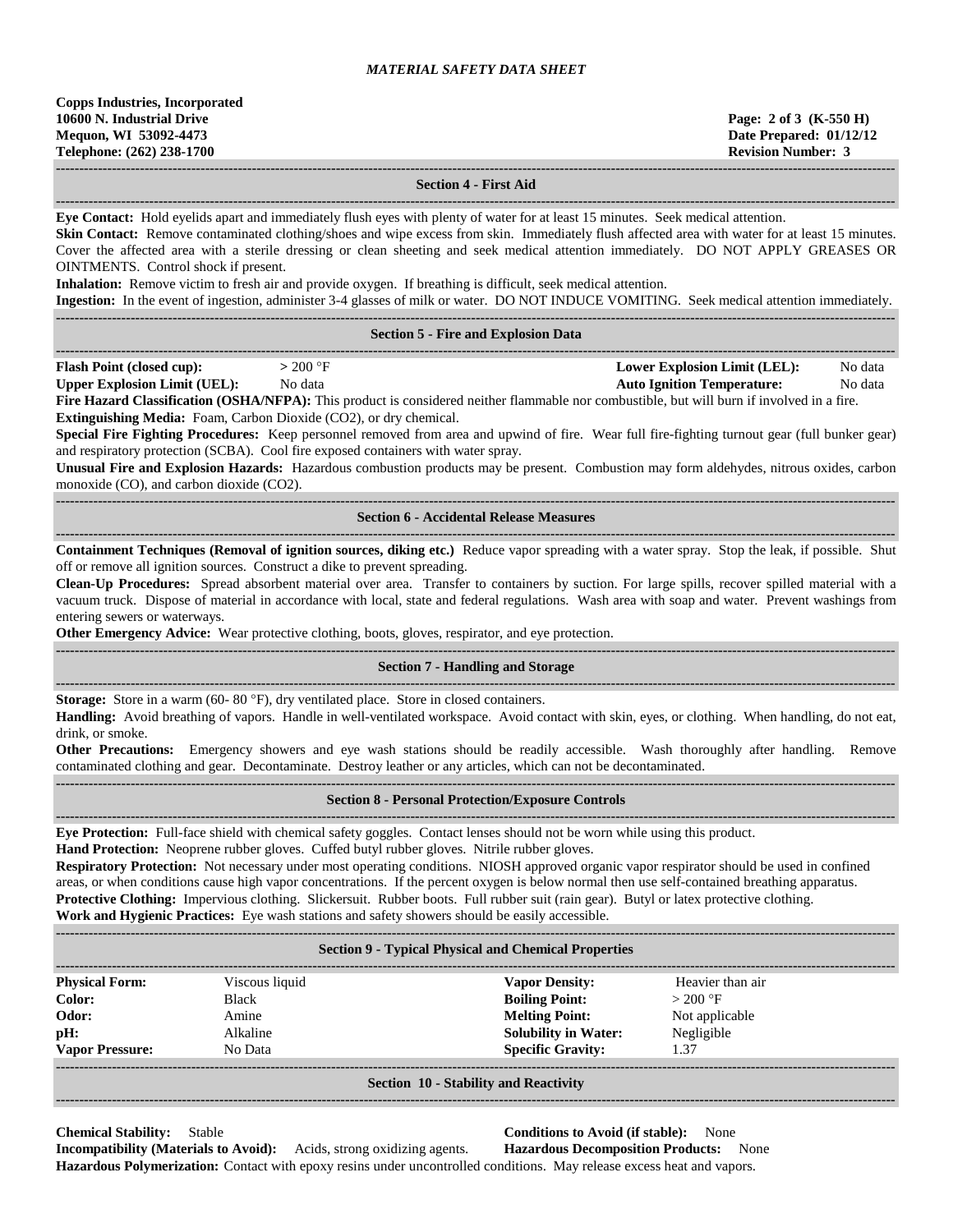**------------------------------------------------------------------------------------------------------------------------------------------------------------------------------------ Section 4 - First Aid**

**------------------------------------------------------------------------------------------------------------------------------------------------------------------------------------ Eye Contact:** Hold eyelids apart and immediately flush eyes with plenty of water for at least 15 minutes. Seek medical attention.

Skin Contact: Remove contaminated clothing/shoes and wipe excess from skin. Immediately flush affected area with water for at least 15 minutes. Cover the affected area with a sterile dressing or clean sheeting and seek medical attention immediately. DO NOT APPLY GREASES OR OINTMENTS. Control shock if present.

**Inhalation:** Remove victim to fresh air and provide oxygen. If breathing is difficult, seek medical attention.

**Ingestion:** In the event of ingestion, administer 3-4 glasses of milk or water. DO NOT INDUCE VOMITING. Seek medical attention immediately.

|                                                                         |                                                                                                                                                                                                                             | <b>Section 5 - Fire and Explosion Data</b>                                                                                                                                                                                                                                                                                                                                                                                                                                                                                                                         |  |  |  |  |  |
|-------------------------------------------------------------------------|-----------------------------------------------------------------------------------------------------------------------------------------------------------------------------------------------------------------------------|--------------------------------------------------------------------------------------------------------------------------------------------------------------------------------------------------------------------------------------------------------------------------------------------------------------------------------------------------------------------------------------------------------------------------------------------------------------------------------------------------------------------------------------------------------------------|--|--|--|--|--|
| <b>Flash Point (closed cup):</b><br><b>Upper Explosion Limit (UEL):</b> | $> 200$ °F<br>No data<br>Extinguishing Media: Foam, Carbon Dioxide (CO2), or dry chemical.<br>and respiratory protection (SCBA). Cool fire exposed containers with water spray.<br>monoxide (CO), and carbon dioxide (CO2). | <b>Lower Explosion Limit (LEL):</b><br>No data<br><b>Auto Ignition Temperature:</b><br>No data<br>Fire Hazard Classification (OSHA/NFPA): This product is considered neither flammable nor combustible, but will burn if involved in a fire.<br>Special Fire Fighting Procedures: Keep personnel removed from area and upwind of fire. Wear full fire-fighting turnout gear (full bunker gear)<br>Unusual Fire and Explosion Hazards: Hazardous combustion products may be present. Combustion may form aldehydes, nitrous oxides, carbon                          |  |  |  |  |  |
|                                                                         |                                                                                                                                                                                                                             | <b>Section 6 - Accidental Release Measures</b>                                                                                                                                                                                                                                                                                                                                                                                                                                                                                                                     |  |  |  |  |  |
| entering sewers or waterways.                                           | off or remove all ignition sources. Construct a dike to prevent spreading.<br>Other Emergency Advice: Wear protective clothing, boots, gloves, respirator, and eye protection.                                              | Containment Techniques (Removal of ignition sources, diking etc.) Reduce vapor spreading with a water spray. Stop the leak, if possible. Shut<br>Clean-Up Procedures: Spread absorbent material over area. Transfer to containers by suction. For large spills, recover spilled material with a<br>vacuum truck. Dispose of material in accordance with local, state and federal regulations. Wash area with soap and water. Prevent washings from                                                                                                                 |  |  |  |  |  |
|                                                                         |                                                                                                                                                                                                                             | <b>Section 7 - Handling and Storage</b>                                                                                                                                                                                                                                                                                                                                                                                                                                                                                                                            |  |  |  |  |  |
| drink, or smoke.                                                        | Storage: Store in a warm (60-80 °F), dry ventilated place. Store in closed containers.                                                                                                                                      | Handling: Avoid breathing of vapors. Handle in well-ventilated workspace. Avoid contact with skin, eyes, or clothing. When handling, do not eat,<br>Other Precautions: Emergency showers and eye wash stations should be readily accessible. Wash thoroughly after handling. Remove<br>contaminated clothing and gear. Decontaminate. Destroy leather or any articles, which can not be decontaminated.                                                                                                                                                            |  |  |  |  |  |
|                                                                         |                                                                                                                                                                                                                             | <b>Section 8 - Personal Protection/Exposure Controls</b>                                                                                                                                                                                                                                                                                                                                                                                                                                                                                                           |  |  |  |  |  |
|                                                                         | Hand Protection: Neoprene rubber gloves. Cuffed butyl rubber gloves. Nitrile rubber gloves.<br>Work and Hygienic Practices: Eye wash stations and safety showers should be easily accessible.                               | Eye Protection: Full-face shield with chemical safety goggles. Contact lenses should not be worn while using this product.<br>Respiratory Protection: Not necessary under most operating conditions. NIOSH approved organic vapor respirator should be used in confined<br>areas, or when conditions cause high vapor concentrations. If the percent oxygen is below normal then use self-contained breathing apparatus.<br>Protective Clothing: Impervious clothing. Slickersuit. Rubber boots. Full rubber suit (rain gear). Butyl or latex protective clothing. |  |  |  |  |  |
|                                                                         |                                                                                                                                                                                                                             | <b>Section 9 - Typical Physical and Chemical Properties</b>                                                                                                                                                                                                                                                                                                                                                                                                                                                                                                        |  |  |  |  |  |
| <b>Physical Form:</b><br>Color:<br>Odor:<br>pH:                         | Viscous liquid<br><b>Black</b><br>Amine<br>Alkaline                                                                                                                                                                         | <b>Vapor Density:</b><br>Heavier than air<br><b>Boiling Point:</b><br>$>200$ °F<br><b>Melting Point:</b><br>Not applicable<br><b>Solubility in Water:</b><br>Negligible                                                                                                                                                                                                                                                                                                                                                                                            |  |  |  |  |  |

#### **Section 10 - Stability and Reactivity ------------------------------------------------------------------------------------------------------------------------------------------------------------------------------------**

**Chemical Stability:** Stable **Conditions to Avoid (if stable):** None **Incompatibility (Materials to Avoid):** Acids, strong oxidizing agents. **Hazardous Decomposition Products:** None

**Vapor Pressure:** No Data **Specific Gravity:** 1.37

**------------------------------------------------------------------------------------------------------------------------------------------------------------------------------------**

**Hazardous Polymerization:** Contact with epoxy resins under uncontrolled conditions. May release excess heat and vapors.